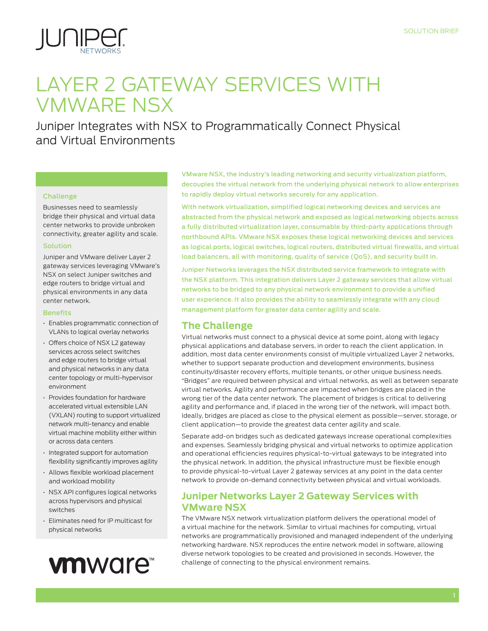

## LAYER 2 GATEWAY SERVICES WITH VMWARE NSX

Juniper Integrates with NSX to Programmatically Connect Physical and Virtual Environments

#### Challenge

Businesses need to seamlessly bridge their physical and virtual data center networks to provide unbroken connectivity, greater agility and scale.

#### Solution

Juniper and VMware deliver Layer 2 gateway services leveraging VMware's NSX on select Juniper switches and edge routers to bridge virtual and physical environments in any data center network.

#### **Benefits**

- Enables programmatic connection of VLANs to logical overlay networks
- Offers choice of NSX L2 gateway services across select switches and edge routers to bridge virtual and physical networks in any data center topology or multi-hypervisor environment
- Provides foundation for hardware accelerated virtual extensible LAN (VXLAN) routing to support virtualized network multi-tenancy and enable virtual machine mobility either within or across data centers
- Integrated support for automation flexibility significantly improves agility
- Allows flexible workload placement and workload mobility
- NSX API configures logical networks across hypervisors and physical switches
- Eliminates need for IP multicast for physical networks

# **vm**ware<sup>\*\*</sup>

VMware NSX, the industry's leading networking and security virtualization platform, decouples the virtual network from the underlying physical network to allow enterprises to rapidly deploy virtual networks securely for any application.

With network virtualization, simplified logical networking devices and services are abstracted from the physical network and exposed as logical networking objects across a fully distributed virtualization layer, consumable by third-party applications through northbound APIs. VMware NSX exposes these logical networking devices and services as logical ports, logical switches, logical routers, distributed virtual firewalls, and virtual load balancers, all with monitoring, quality of service (QoS), and security built in.

Juniper Networks leverages the NSX distributed service framework to integrate with the NSX platform. This integration delivers Layer 2 gateway services that allow virtual networks to be bridged to any physical network environment to provide a unified user experience. It also provides the ability to seamlessly integrate with any cloud management platform for greater data center agility and scale.

## **The Challenge**

Virtual networks must connect to a physical device at some point, along with legacy physical applications and database servers, in order to reach the client application. In addition, most data center environments consist of multiple virtualized Layer 2 networks, whether to support separate production and development environments, business continuity/disaster recovery efforts, multiple tenants, or other unique business needs. "Bridges" are required between physical and virtual networks, as well as between separate virtual networks. Agility and performance are impacted when bridges are placed in the wrong tier of the data center network. The placement of bridges is critical to delivering agility and performance and, if placed in the wrong tier of the network, will impact both. Ideally, bridges are placed as close to the physical element as possible—server, storage, or client application—to provide the greatest data center agility and scale.

Separate add-on bridges such as dedicated gateways increase operational complexities and expenses. Seamlessly bridging physical and virtual networks to optimize application and operational efficiencies requires physical-to-virtual gateways to be integrated into the physical network. In addition, the physical infrastructure must be flexible enough to provide physical-to-virtual Layer 2 gateway services at any point in the data center network to provide on-demand connectivity between physical and virtual workloads.

## **Juniper Networks Layer 2 Gateway Services with VMware NSX**

The VMware NSX network virtualization platform delivers the operational model of a virtual machine for the network. Similar to virtual machines for computing, virtual networks are programmatically provisioned and managed independent of the underlying networking hardware. NSX reproduces the entire network model in software, allowing diverse network topologies to be created and provisioned in seconds. However, the challenge of connecting to the physical environment remains.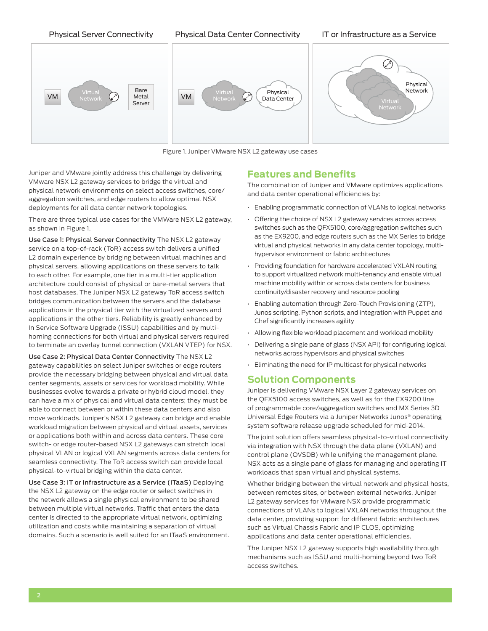Physical Server Connectivity Physical Data Center Connectivity IT or Infrastructure as a Service



Figure 1. Juniper VMware NSX L2 gateway use cases

Juniper and VMware jointly address this challenge by delivering VMware NSX L2 gateway services to bridge the virtual and physical network environments on select access switches, core/ aggregation switches, and edge routers to allow optimal NSX deployments for all data center network topologies.

There are three typical use cases for the VMWare NSX L2 gateway, as shown in Figure 1.

Use Case 1: Physical Server Connectivity The NSX L2 gateway service on a top-of-rack (ToR) access switch delivers a unified L2 domain experience by bridging between virtual machines and physical servers, allowing applications on these servers to talk to each other. For example, one tier in a multi-tier application architecture could consist of physical or bare-metal servers that host databases. The Juniper NSX L2 gateway ToR access switch bridges communication between the servers and the database applications in the physical tier with the virtualized servers and applications in the other tiers. Reliability is greatly enhanced by In Service Software Upgrade (ISSU) capabilities and by multihoming connections for both virtual and physical servers required to terminate an overlay tunnel connection (VXLAN VTEP) for NSX.

Use Case 2: Physical Data Center Connectivity The NSX L2 gateway capabilities on select Juniper switches or edge routers provide the necessary bridging between physical and virtual data center segments, assets or services for workload mobility. While businesses evolve towards a private or hybrid cloud model, they can have a mix of physical and virtual data centers; they must be able to connect between or within these data centers and also move workloads. Juniper's NSX L2 gateway can bridge and enable workload migration between physical and virtual assets, services or applications both within and across data centers. These core switch- or edge router-based NSX L2 gateways can stretch local physical VLAN or logical VXLAN segments across data centers for seamless connectivity. The ToR access switch can provide local physical-to-virtual bridging within the data center.

Use Case 3: IT or Infrastructure as a Service (ITaaS) Deploying the NSX L2 gateway on the edge router or select switches in the network allows a single physical environment to be shared between multiple virtual networks. Traffic that enters the data center is directed to the appropriate virtual network, optimizing utilization and costs while maintaining a separation of virtual domains. Such a scenario is well suited for an ITaaS environment.

#### **Features and Benefits**

The combination of Juniper and VMware optimizes applications and data center operational efficiencies by:

- Enabling programmatic connection of VLANs to logical networks
- Offering the choice of NSX L2 gateway services across access switches such as the QFX5100, core/aggregation switches such as the EX9200, and edge routers such as the MX Series to bridge virtual and physical networks in any data center topology, multihypervisor environment or fabric architectures
- Providing foundation for hardware accelerated VXLAN routing to support virtualized network multi-tenancy and enable virtual machine mobility within or across data centers for business continuity/disaster recovery and resource pooling
- Enabling automation through Zero-Touch Provisioning (ZTP), Junos scripting, Python scripts, and integration with Puppet and Chef significantly increases agility
- Allowing flexible workload placement and workload mobility
- Delivering a single pane of glass (NSX API) for configuring logical networks across hypervisors and physical switches
- Eliminating the need for IP multicast for physical networks

#### **Solution Components**

Juniper is delivering VMware NSX Layer 2 gateway services on the QFX5100 access switches, as well as for the EX9200 line of programmable core/aggregation switches and MX Series 3D Universal Edge Routers via a Juniper Networks Junos® operating system software release upgrade scheduled for mid-2014.

The joint solution offers seamless physical-to-virtual connectivity via integration with NSX through the data plane (VXLAN) and control plane (OVSDB) while unifying the management plane. NSX acts as a single pane of glass for managing and operating IT workloads that span virtual and physical systems.

Whether bridging between the virtual network and physical hosts, between remotes sites, or between external networks, Juniper L2 gateway services for VMware NSX provide programmatic connections of VLANs to logical VXLAN networks throughout the data center, providing support for different fabric architectures such as Virtual Chassis Fabric and IP CLOS, optimizing applications and data center operational efficiencies.

The Juniper NSX L2 gateway supports high availability through mechanisms such as ISSU and multi-homing beyond two ToR access switches.